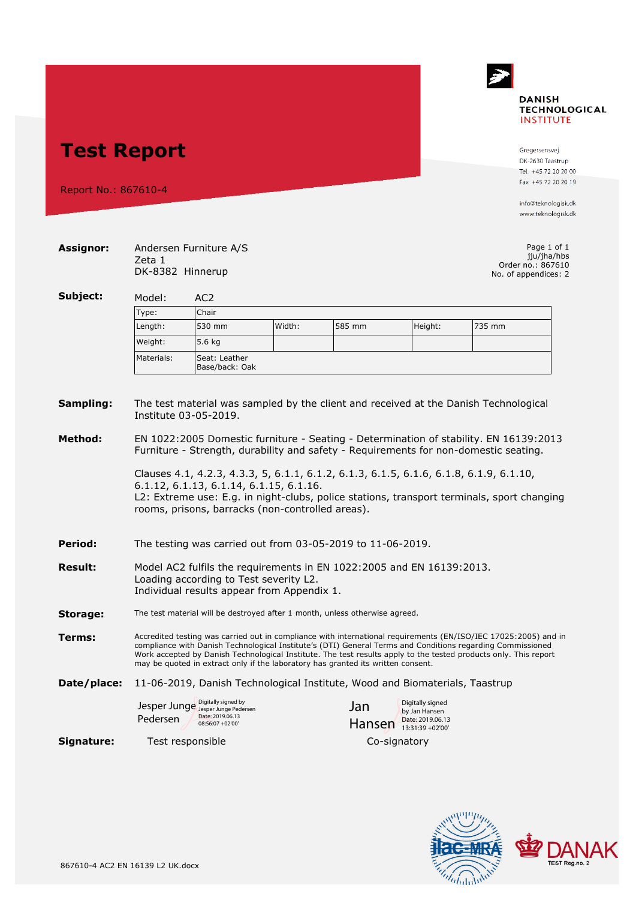## $\rightarrow$ **DANISH TECHNOLOGICAL INSTITUTE**

**Test Report**

Report No.: 867610-4

Gregersensvej DK-2630 Taastrup Tel. +45 72 20 20 00 Fax +45 72 20 20 19

info@teknologisk.dk www.teknologisk.dk

| Assignor:            | Andersen Furniture A/S<br>Zeta 1<br>Order no.: 867610<br>DK-8382 Hinnerup<br>No. of appendices: 2                                                                                                                                                                                                                                                                                                                                     |                                                                                                   |  |               |                                                                           |  |  |  |
|----------------------|---------------------------------------------------------------------------------------------------------------------------------------------------------------------------------------------------------------------------------------------------------------------------------------------------------------------------------------------------------------------------------------------------------------------------------------|---------------------------------------------------------------------------------------------------|--|---------------|---------------------------------------------------------------------------|--|--|--|
| Subject:             | Model:<br>AC <sub>2</sub>                                                                                                                                                                                                                                                                                                                                                                                                             |                                                                                                   |  |               |                                                                           |  |  |  |
|                      | Chair<br>Type:                                                                                                                                                                                                                                                                                                                                                                                                                        |                                                                                                   |  |               |                                                                           |  |  |  |
|                      | Length:                                                                                                                                                                                                                                                                                                                                                                                                                               | 530 mm<br>Width:<br>585 mm<br>Height:<br>735 mm                                                   |  |               |                                                                           |  |  |  |
|                      | Weight:                                                                                                                                                                                                                                                                                                                                                                                                                               | 5.6 kg                                                                                            |  |               |                                                                           |  |  |  |
|                      | Materials:                                                                                                                                                                                                                                                                                                                                                                                                                            | Seat: Leather<br>Base/back: Oak                                                                   |  |               |                                                                           |  |  |  |
| Sampling:<br>Method: | The test material was sampled by the client and received at the Danish Technological<br>Institute 03-05-2019.<br>EN 1022:2005 Domestic furniture - Seating - Determination of stability. EN 16139:2013<br>Furniture - Strength, durability and safety - Requirements for non-domestic seating.                                                                                                                                        |                                                                                                   |  |               |                                                                           |  |  |  |
| Period:              | Clauses 4.1, 4.2.3, 4.3.3, 5, 6.1.1, 6.1.2, 6.1.3, 6.1.5, 6.1.6, 6.1.8, 6.1.9, 6.1.10,<br>6.1.12, 6.1.13, 6.1.14, 6.1.15, 6.1.16.<br>L2: Extreme use: E.g. in night-clubs, police stations, transport terminals, sport changing<br>rooms, prisons, barracks (non-controlled areas).<br>The testing was carried out from 03-05-2019 to 11-06-2019.                                                                                     |                                                                                                   |  |               |                                                                           |  |  |  |
| <b>Result:</b>       | Model AC2 fulfils the requirements in EN 1022:2005 and EN 16139:2013.<br>Loading according to Test severity L2.<br>Individual results appear from Appendix 1.                                                                                                                                                                                                                                                                         |                                                                                                   |  |               |                                                                           |  |  |  |
| Storage:             | The test material will be destroyed after 1 month, unless otherwise agreed.                                                                                                                                                                                                                                                                                                                                                           |                                                                                                   |  |               |                                                                           |  |  |  |
| Terms:               | Accredited testing was carried out in compliance with international requirements (EN/ISO/IEC 17025:2005) and in<br>compliance with Danish Technological Institute's (DTI) General Terms and Conditions regarding Commissioned<br>Work accepted by Danish Technological Institute. The test results apply to the tested products only. This report<br>may be quoted in extract only if the laboratory has granted its written consent. |                                                                                                   |  |               |                                                                           |  |  |  |
| Date/place:          | 11-06-2019, Danish Technological Institute, Wood and Biomaterials, Taastrup                                                                                                                                                                                                                                                                                                                                                           |                                                                                                   |  |               |                                                                           |  |  |  |
|                      | Pedersen                                                                                                                                                                                                                                                                                                                                                                                                                              | Digitally signed by<br>Jesper Junge Jesper Junge Pedersen<br>Date: 2019.06.13<br>08:56:07 +02'00' |  | Jan<br>Hansen | Digitally signed<br>by Jan Hansen<br>Date: 2019.06.13<br>13:31:39 +02'00' |  |  |  |
| Signature:           |                                                                                                                                                                                                                                                                                                                                                                                                                                       | Test responsible                                                                                  |  | Co-signatory  |                                                                           |  |  |  |

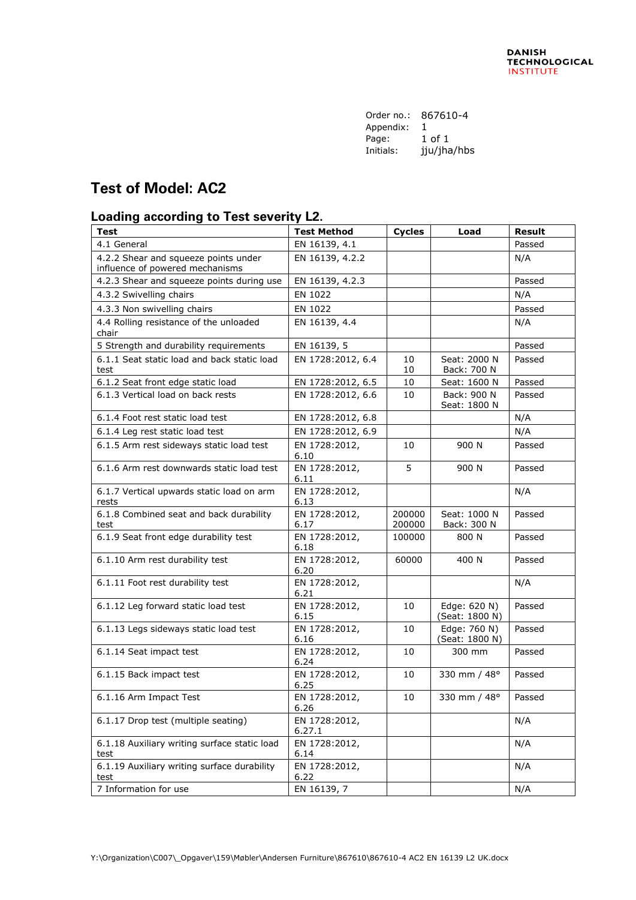| Order no.: | 867610-4    |
|------------|-------------|
| Appendix:  | 1           |
| Page:      | 1 of 1      |
| Initials:  | jju/jha/hbs |
|            |             |

## **Test of Model: AC2**

## **Loading according to Test severity L2.**

| <b>Test</b>                                                             | <b>Test Method</b>      | <b>Cycles</b>    | Load                           | <b>Result</b> |
|-------------------------------------------------------------------------|-------------------------|------------------|--------------------------------|---------------|
| 4.1 General                                                             | EN 16139, 4.1           |                  |                                | Passed        |
| 4.2.2 Shear and squeeze points under<br>influence of powered mechanisms | EN 16139, 4.2.2         |                  |                                | N/A           |
| 4.2.3 Shear and squeeze points during use                               | EN 16139, 4.2.3         |                  |                                | Passed        |
| 4.3.2 Swivelling chairs                                                 | EN 1022                 |                  |                                | N/A           |
| 4.3.3 Non swivelling chairs                                             | EN 1022                 |                  |                                | Passed        |
| 4.4 Rolling resistance of the unloaded<br>chair                         | EN 16139, 4.4           |                  |                                | N/A           |
| 5 Strength and durability requirements                                  | EN 16139, 5             |                  |                                | Passed        |
| 6.1.1 Seat static load and back static load<br>test                     | EN 1728:2012, 6.4       | 10<br>10         | Seat: 2000 N<br>Back: 700 N    | Passed        |
| 6.1.2 Seat front edge static load                                       | EN 1728:2012, 6.5       | 10               | Seat: 1600 N                   | Passed        |
| 6.1.3 Vertical load on back rests                                       | EN 1728:2012, 6.6       | 10               | Back: 900 N<br>Seat: 1800 N    | Passed        |
| 6.1.4 Foot rest static load test                                        | EN 1728:2012, 6.8       |                  |                                | N/A           |
| 6.1.4 Leg rest static load test                                         | EN 1728:2012, 6.9       |                  |                                | N/A           |
| 6.1.5 Arm rest sideways static load test                                | EN 1728:2012,<br>6.10   | 10               | 900 N                          | Passed        |
| 6.1.6 Arm rest downwards static load test                               | EN 1728:2012,<br>6.11   | 5                | 900 N                          | Passed        |
| 6.1.7 Vertical upwards static load on arm<br>rests                      | EN 1728:2012,<br>6.13   |                  |                                | N/A           |
| 6.1.8 Combined seat and back durability<br>test                         | EN 1728:2012,<br>6.17   | 200000<br>200000 | Seat: 1000 N<br>Back: 300 N    | Passed        |
| 6.1.9 Seat front edge durability test                                   | EN 1728:2012,<br>6.18   | 100000           | 800 N                          | Passed        |
| 6.1.10 Arm rest durability test                                         | EN 1728:2012,<br>6.20   | 60000            | 400 N                          | Passed        |
| 6.1.11 Foot rest durability test                                        | EN 1728:2012,<br>6.21   |                  |                                | N/A           |
| 6.1.12 Leg forward static load test                                     | EN 1728:2012,<br>6.15   | 10               | Edge: 620 N)<br>(Seat: 1800 N) | Passed        |
| 6.1.13 Legs sideways static load test                                   | EN 1728:2012,<br>6.16   | 10               | Edge: 760 N)<br>(Seat: 1800 N) | Passed        |
| 6.1.14 Seat impact test                                                 | EN 1728:2012,<br>6.24   | 10               | 300 mm                         | Passed        |
| 6.1.15 Back impact test                                                 | EN 1728:2012,<br>6.25   | 10               | 330 mm / 48°                   | Passed        |
| 6.1.16 Arm Impact Test                                                  | EN 1728:2012,<br>6.26   | 10               | 330 mm / 48°                   | Passed        |
| 6.1.17 Drop test (multiple seating)                                     | EN 1728:2012,<br>6.27.1 |                  |                                | N/A           |
| 6.1.18 Auxiliary writing surface static load<br>test                    | EN 1728:2012,<br>6.14   |                  |                                | N/A           |
| 6.1.19 Auxiliary writing surface durability<br>test                     | EN 1728:2012,<br>6.22   |                  |                                | N/A           |
| 7 Information for use                                                   | EN 16139, 7             |                  |                                | N/A           |